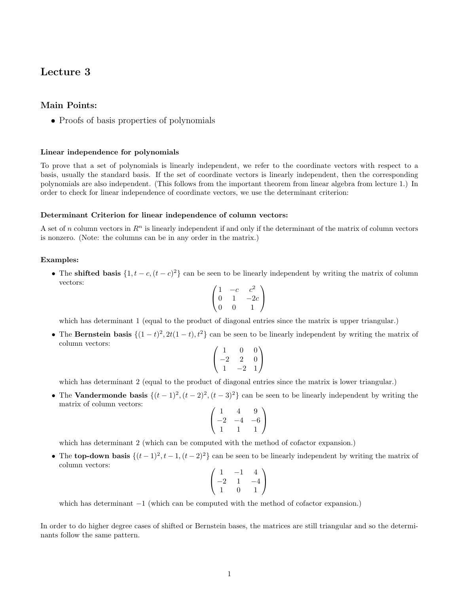# Lecture 3

## Main Points:

• Proofs of basis properties of polynomials

## Linear independence for polynomials

To prove that a set of polynomials is linearly independent, we refer to the coordinate vectors with respect to a basis, usually the standard basis. If the set of coordinate vectors is linearly independent, then the corresponding polynomials are also independent. (This follows from the important theorem from linear algebra from lecture 1.) In order to check for linear independence of coordinate vectors, we use the determinant criterion:

#### Determinant Criterion for linear independence of column vectors:

A set of n column vectors in  $\mathbb{R}^n$  is linearly independent if and only if the determinant of the matrix of column vectors is nonzero. (Note: the columns can be in any order in the matrix.)

## Examples:

• The shifted basis  $\{1, t - c, (t - c)^2\}$  can be seen to be linearly independent by writing the matrix of column vectors:

$$
\begin{pmatrix} 1 & -c & c^2 \\ 0 & 1 & -2c \\ 0 & 0 & 1 \end{pmatrix}
$$

which has determinant 1 (equal to the product of diagonal entries since the matrix is upper triangular.)

• The Bernstein basis  $\{(1-t)^2, 2t(1-t), t^2\}$  can be seen to be linearly independent by writing the matrix of column vectors:

$$
\begin{pmatrix}\n1 & 0 & 0 \\
-2 & 2 & 0 \\
1 & -2 & 1\n\end{pmatrix}
$$

which has determinant 2 (equal to the product of diagonal entries since the matrix is lower triangular.)

• The Vandermonde basis  $\{(t-1)^2, (t-2)^2, (t-3)^2\}$  can be seen to be linearly independent by writing the matrix of column vectors:

$$
\begin{pmatrix} 1 & 4 & 9 \ -2 & -4 & -6 \ 1 & 1 & 1 \end{pmatrix}
$$

which has determinant 2 (which can be computed with the method of cofactor expansion.)

• The top-down basis  $\{(t-1)^2, t-1, (t-2)^2\}$  can be seen to be linearly independent by writing the matrix of column vectors:

$$
\begin{pmatrix} 1 & -1 & 4 \ -2 & 1 & -4 \ 1 & 0 & 1 \end{pmatrix}
$$

which has determinant  $-1$  (which can be computed with the method of cofactor expansion.)

In order to do higher degree cases of shifted or Bernstein bases, the matrices are still triangular and so the determinants follow the same pattern.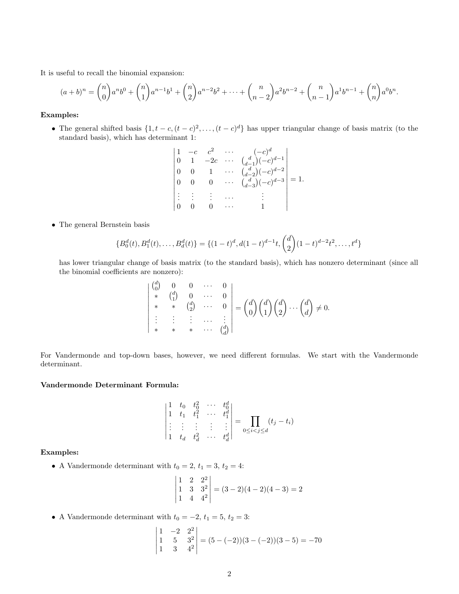It is useful to recall the binomial expansion:

$$
(a+b)^n = {n \choose 0}a^nb^0 + {n \choose 1}a^{n-1}b^1 + {n \choose 2}a^{n-2}b^2 + \dots + {n \choose n-2}a^2b^{n-2} + {n \choose n-1}a^1b^{n-1} + {n \choose n}a^0b^n.
$$

## Examples:

- The general shifted basis  $\{1, t c, (t c)^2, \ldots, (t c)^d\}$  has upper triangular change of basis matrix (to the standard basis), which has determinant 1:
	- 1  $-c$   $c^2$   $\cdots$   $(-c)^d$ 0 1  $-2c \cdots \binom{d}{d-1} (-c)^{d-1}$ 0 0 1  $\cdots \frac{d}{d-2}(-c)^{d-2}$ 0 0 0  $\cdots$   $\binom{d}{d-3}(-c)^{d-3}$ . . . . . . . . . · · · . . .  $0 \quad 0 \quad 0 \quad \cdots \quad 1$   $= 1.$
- The general Bernstein basis

$$
\{B_0^d(t), B_1^d(t), \dots, B_d^d(t)\} = \{(1-t)^d, d(1-t)^{d-1}t, \binom{d}{2}(1-t)^{d-2}t^2, \dots, t^d\}
$$

has lower triangular change of basis matrix (to the standard basis), which has nonzero determinant (since all the binomial coefficients are nonzero):

$$
\begin{vmatrix}\n\begin{pmatrix}\nd \\
0\n\end{pmatrix} & 0 & 0 & \cdots & 0 \\
\ast & \begin{pmatrix}\nd \\
1\n\end{pmatrix} & 0 & \cdots & 0 \\
\ast & \ast & \begin{pmatrix}\nd \\
2\n\end{pmatrix} & \cdots & 0 \\
\vdots & \vdots & \ddots & \vdots \\
\ast & \ast & \ast & \cdots & \begin{pmatrix}\nd \\
d\n\end{pmatrix}\n\end{vmatrix} = \begin{pmatrix}\nd \\
0\n\end{pmatrix} \begin{pmatrix}\nd \\
1\n\end{pmatrix} \begin{pmatrix}\nd \\
2\n\end{pmatrix} \cdots \begin{pmatrix}\nd \\
d\n\end{pmatrix} \neq 0.
$$

For Vandermonde and top-down bases, however, we need different formulas. We start with the Vandermonde determinant.

#### Vandermonde Determinant Formula:

$$
\begin{vmatrix} 1 & t_0 & t_0^2 & \cdots & t_0^d \\ 1 & t_1 & t_1^2 & \cdots & t_1^d \\ \vdots & \vdots & \vdots & \vdots & \vdots \\ 1 & t_d & t_d^2 & \cdots & t_d^d \end{vmatrix} = \prod_{0 \le i < j \le d} (t_j - t_i)
$$

#### Examples:

• A Vandermonde determinant with  $t_0 = 2$ ,  $t_1 = 3$ ,  $t_2 = 4$ :

$$
\begin{vmatrix} 1 & 2 & 2^2 \\ 1 & 3 & 3^2 \\ 1 & 4 & 4^2 \end{vmatrix} = (3-2)(4-2)(4-3) = 2
$$

• A Vandermonde determinant with  $t_0 = -2$ ,  $t_1 = 5$ ,  $t_2 = 3$ :

$$
\begin{vmatrix} 1 & -2 & 2^2 \\ 1 & 5 & 3^2 \\ 1 & 3 & 4^2 \end{vmatrix} = (5 - (-2))(3 - (-2))(3 - 5) = -70
$$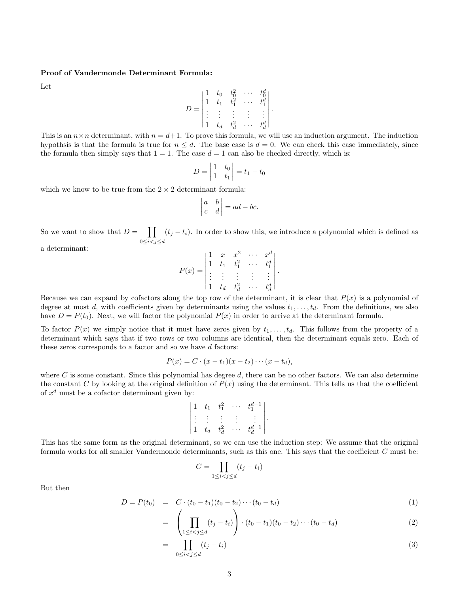#### Proof of Vandermonde Determinant Formula:

Let

$$
D = \begin{vmatrix} 1 & t_0 & t_0^2 & \cdots & t_0^d \\ 1 & t_1 & t_1^2 & \cdots & t_1^d \\ \vdots & \vdots & \vdots & \vdots & \vdots \\ 1 & t_d & t_d^2 & \cdots & t_d^d \end{vmatrix}.
$$

This is an  $n \times n$  determinant, with  $n = d+1$ . To prove this formula, we will use an induction argument. The induction hypothsis is that the formula is true for  $n \leq d$ . The base case is  $d = 0$ . We can check this case immediately, since the formula then simply says that  $1 = 1$ . The case  $d = 1$  can also be checked directly, which is:

$$
D = \begin{vmatrix} 1 & t_0 \\ 1 & t_1 \end{vmatrix} = t_1 - t_0
$$

which we know to be true from the  $2 \times 2$  determinant formula:

$$
\begin{vmatrix} a & b \\ c & d \end{vmatrix} = ad - bc.
$$

So we want to show that  $D = \prod$  $0 \leq i < j \leq d$  $(t_j - t_i)$ . In order to show this, we introduce a polynomial which is defined as

a determinant:

$$
P(x) = \begin{vmatrix} 1 & x & x^2 & \cdots & x^d \\ 1 & t_1 & t_1^2 & \cdots & t_1^d \\ \vdots & \vdots & \vdots & \vdots & \vdots \\ 1 & t_d & t_d^2 & \cdots & t_d^d \end{vmatrix}.
$$

Because we can expand by cofactors along the top row of the determinant, it is clear that  $P(x)$  is a polynomial of degree at most d, with coefficients given by determinants using the values  $t_1, \ldots, t_d$ . From the definitions, we also have  $D = P(t_0)$ . Next, we will factor the polynomial  $P(x)$  in order to arrive at the determinant formula.

To factor  $P(x)$  we simply notice that it must have zeros given by  $t_1, \ldots, t_d$ . This follows from the property of a determinant which says that if two rows or two columns are identical, then the determinant equals zero. Each of these zeros corresponds to a factor and so we have d factors:

$$
P(x) = C \cdot (x - t_1)(x - t_2) \cdots (x - t_d),
$$

where  $C$  is some constant. Since this polynomial has degree  $d$ , there can be no other factors. We can also determine the constant C by looking at the original definition of  $P(x)$  using the determinant. This tells us that the coefficient of  $x^d$  must be a cofactor determinant given by:

$$
\begin{vmatrix} 1 & t_1 & t_1^2 & \cdots & t_1^{d-1} \\ \vdots & \vdots & \vdots & \vdots & \vdots \\ 1 & t_d & t_d^2 & \cdots & t_d^{d-1} \end{vmatrix}.
$$

This has the same form as the original determinant, so we can use the induction step: We assume that the original formula works for all smaller Vandermonde determinants, such as this one. This says that the coefficient C must be:

$$
C = \prod_{1 \le i < j \le d} (t_j - t_i)
$$

But then

$$
D = P(t_0) = C \cdot (t_0 - t_1)(t_0 - t_2) \cdots (t_0 - t_d)
$$
\n(1)

$$
= \left( \prod_{1 \leq i < j \leq d} (t_j - t_i) \right) \cdot (t_0 - t_1)(t_0 - t_2) \cdots (t_0 - t_d) \tag{2}
$$

$$
= \prod_{0 \le i < j \le d} (t_j - t_i) \tag{3}
$$

=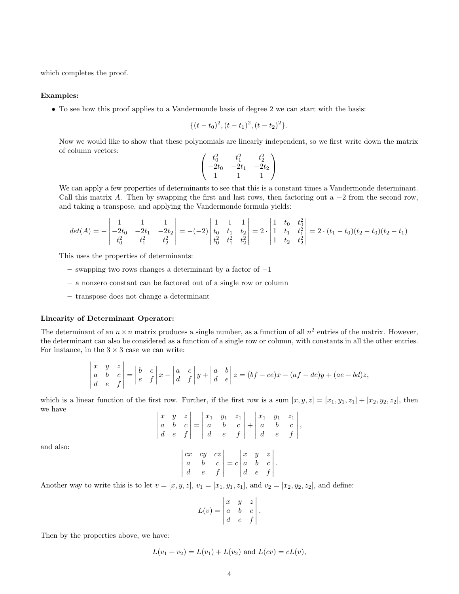which completes the proof.

## Examples:

• To see how this proof applies to a Vandermonde basis of degree 2 we can start with the basis:

$$
\{(t-t_0)^2, (t-t_1)^2, (t-t_2)^2\}.
$$

Now we would like to show that these polynomials are linearly independent, so we first write down the matrix of column vectors:

$$
\begin{pmatrix} t_0^2 & t_1^2 & t_2^2 \ -2t_0 & -2t_1 & -2t_2 \ 1 & 1 & 1 \end{pmatrix}
$$

We can apply a few properties of determinants to see that this is a constant times a Vandermonde determinant. Call this matrix A. Then by swapping the first and last rows, then factoring out a  $-2$  from the second row, and taking a transpose, and applying the Vandermonde formula yields:

$$
det(A) = -\begin{vmatrix} 1 & 1 & 1 \ -2t_0 & -2t_1 & -2t_2 \ t_0^2 & t_1^2 & t_2^2 \end{vmatrix} = -(-2)\begin{vmatrix} 1 & 1 & 1 \ t_0 & t_1 & t_2 \ t_0^2 & t_1^2 & t_2^2 \end{vmatrix} = 2 \cdot \begin{vmatrix} 1 & t_0 & t_0^2 \ 1 & t_1 & t_1^2 \ 1 & t_2 & t_2^2 \end{vmatrix} = 2 \cdot (t_1 - t_0)(t_2 - t_0)(t_2 - t_1)
$$

This uses the properties of determinants:

 $\overline{1}$ 

- swapping two rows changes a determinant by a factor of −1
- a nonzero constant can be factored out of a single row or column
- transpose does not change a determinant

#### Linearity of Determinant Operator:

The determinant of an  $n \times n$  matrix produces a single number, as a function of all  $n^2$  entries of the matrix. However, the determinant can also be considered as a function of a single row or column, with constants in all the other entries. For instance, in the  $3 \times 3$  case we can write:

$$
\begin{vmatrix} x & y & z \\ a & b & c \\ d & e & f \end{vmatrix} = \begin{vmatrix} b & c \\ e & f \end{vmatrix} x - \begin{vmatrix} a & c \\ d & f \end{vmatrix} y + \begin{vmatrix} a & b \\ d & e \end{vmatrix} z = (bf - ce)x - (af - dc)y + (ae - bd)z,
$$

which is a linear function of the first row. Further, if the first row is a sum  $[x, y, z] = [x_1, y_1, z_1] + [x_2, y_2, z_2]$ , then we have  $\mathbf{r}$ 

|  |  | $\begin{vmatrix} x & y & z \\ a & b & c \\ d & e & f \end{vmatrix} = \begin{vmatrix} x_1 & y_1 & z_1 \\ a & b & c \\ d & e & f \end{vmatrix} + \begin{vmatrix} x_1 & y_1 & z_1 \\ a & b & c \\ d & e & f \end{vmatrix},$ |  |  |  |
|--|--|--------------------------------------------------------------------------------------------------------------------------------------------------------------------------------------------------------------------------|--|--|--|

and also:

$$
\begin{vmatrix} cx & cy & cz \\ a & b & c \\ d & e & f \end{vmatrix} = c \begin{vmatrix} x & y & z \\ a & b & c \\ d & e & f \end{vmatrix}.
$$

Another way to write this is to let  $v = [x, y, z]$ ,  $v_1 = [x_1, y_1, z_1]$ , and  $v_2 = [x_2, y_2, z_2]$ , and define:

$$
L(v) = \begin{vmatrix} x & y & z \\ a & b & c \\ d & e & f \end{vmatrix}
$$

.

Then by the properties above, we have:

$$
L(v_1 + v_2) = L(v_1) + L(v_2)
$$
 and  $L(cv) = cL(v)$ ,